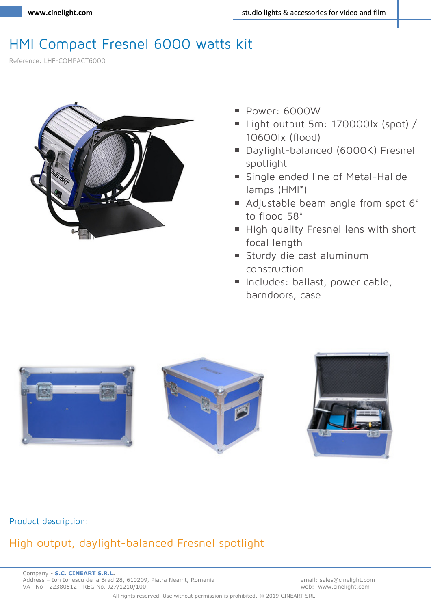# HMI Compact Fresnel 6000 watts kit

Reference: LHF-COMPACT6000



- Power: 6000W
- Light output 5m: 170000lx (spot) / 10600lx (flood)
- Daylight-balanced (6000K) Fresnel spotlight
- **Single ended line of Metal-Halide** lamps (HMI\*)
- Adjustable beam angle from spot 6° to flood 58°
- High quality Fresnel lens with short focal length
- Sturdy die cast aluminum construction
- Includes: ballast, power cable, barndoors, case



#### **Product description:**

# **High output, daylight-balanced Fresnel spotlight**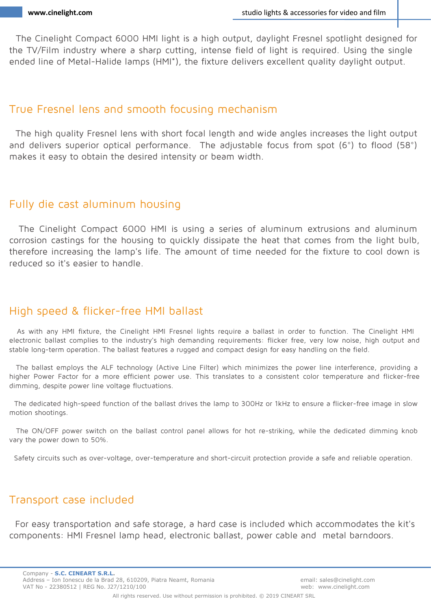The Cinelight Compact 6000 HMI light is a high output, daylight Fresnel spotlight designed for the TV/Film industry where a sharp cutting, intense field of light is required. Using the single ended line of Metal-Halide lamps (HMI\*), the fixture delivers excellent quality daylight output.

### **True Fresnel lens and smooth focusing mechanism**

The high quality Fresnel lens with short focal length and wide angles increases the light output and delivers superior optical performance. The adjustable focus from spot (6°) to flood (58°) makes it easy to obtain the desired intensity or beam width.

### **Fully die cast aluminum housing**

The Cinelight Compact 6000 HMI is using a series of aluminum extrusions and aluminum corrosion castings for the housing to quickly dissipate the heat that comes from the light bulb, therefore increasing the lamp's life. The amount of time needed for the fixture to cool down is reduced so it's easier to handle.

# **High speed & flicker-free HMI ballast**

As with any HMI fixture, the Cinelight HMI Fresnel lights require a ballast in order to function. The Cinelight HMI electronic ballast complies to the industry's high demanding requirements: flicker free, very low noise, high output and stable long-term operation. The ballast features a rugged and compact design for easy handling on the field.

The ballast employs the ALF technology (Active Line Filter) which minimizes the power line interference, providing a higher Power Factor for a more efficient power use. This translates to a consistent color temperature and flicker-free dimming, despite power line voltage fluctuations.

The dedicated high-speed function of the ballast drives the lamp to 300Hz or 1kHz to ensure a flicker-free image in slow motion shootings.

The ON/OFF power switch on the ballast control panel allows for hot re-striking, while the dedicated dimming knob vary the power down to 50%.

Safety circuits such as over-voltage, over-temperature and short-circuit protection provide a safe and reliable operation.

## **Transport case included**

For easy transportation and safe storage, a hard case is included which accommodates the kit's components: HMI Fresnel lamp head, electronic ballast, power cable and metal barndoors.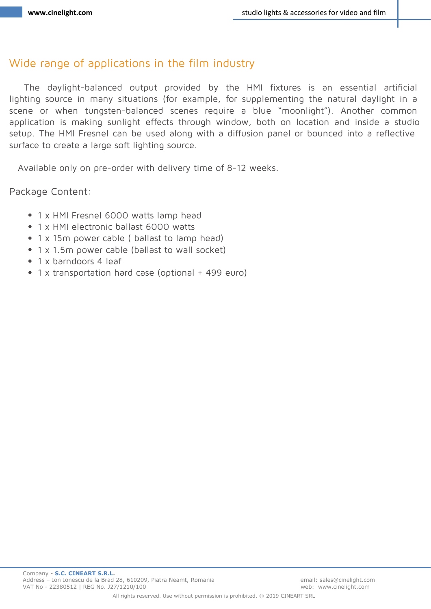### **Wide range of applications in the film industry**

The daylight-balanced output provided by the HMI fixtures is an essential artificial lighting source in many situations (for example, for supplementing the natural daylight in a scene or when tungsten-balanced scenes require a blue "moonlight"). Another common application is making sunlight effects through window, both on location and inside a studio setup. The HMI Fresnel can be used along with a diffusion panel or bounced into a reflective surface to create a large soft lighting source.

*Available only on pre-order with delivery time of 8-12 weeks.* 

**Package Content:**

- 1 x HMI Fresnel 6000 watts lamp head
- 1 x HMI electronic ballast 6000 watts
- 1 x 15m power cable ( ballast to lamp head)
- 1 x 1.5m power cable (ballast to wall socket)
- 1 x barndoors 4 leaf
- 1 x transportation hard case (optional + 499 euro)